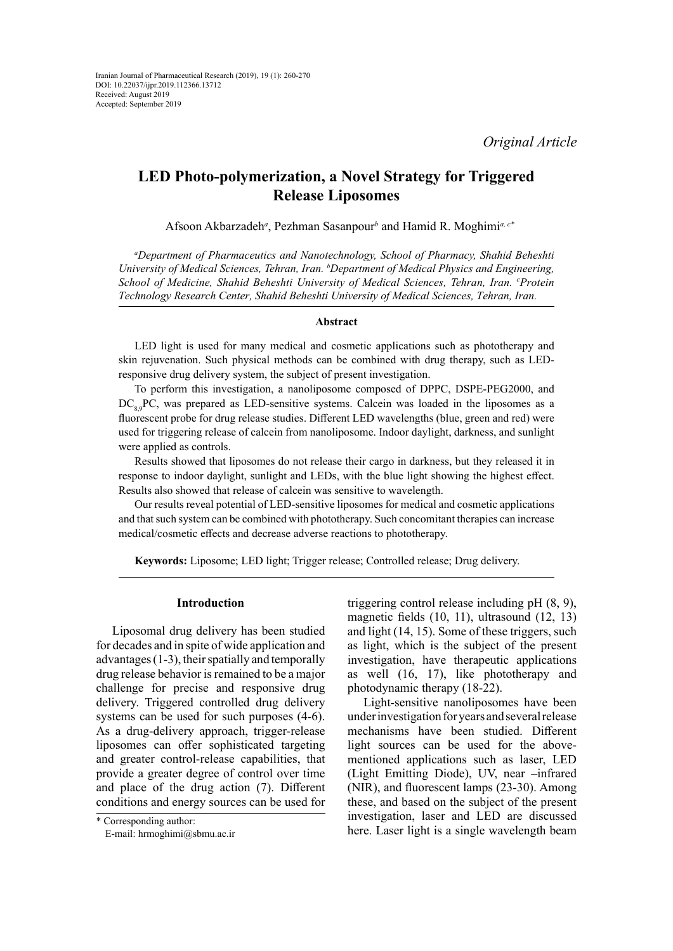# **LED Photo-polymerization, a Novel Strategy for Triggered Release Liposomes**

Afsoon Akbarzadeh*<sup>a</sup>* , Pezhman Sasanpour*<sup>b</sup>* and Hamid R. Moghimi*<sup>a</sup>, c\**

*a Department of Pharmaceutics and Nanotechnology, School of Pharmacy, Shahid Beheshti University of Medical Sciences, Tehran, Iran. b Department of Medical Physics and Engineering, School of Medicine, Shahid Beheshti University of Medical Sciences, Tehran, Iran. <sup>c</sup> Protein Technology Research Center, Shahid Beheshti University of Medical Sciences, Tehran, Iran.* 

#### **Abstract**

LED light is used for many medical and cosmetic applications such as phototherapy and skin rejuvenation. Such physical methods can be combined with drug therapy, such as LEDresponsive drug delivery system, the subject of present investigation.

To perform this investigation, a nanoliposome composed of DPPC, DSPE-PEG2000, and  $DC_{\text{e}}$ , PC, was prepared as LED-sensitive systems. Calcein was loaded in the liposomes as a fluorescent probe for drug release studies. Different LED wavelengths (blue, green and red) were used for triggering release of calcein from nanoliposome. Indoor daylight, darkness, and sunlight were applied as controls.

Results showed that liposomes do not release their cargo in darkness, but they released it in response to indoor daylight, sunlight and LEDs, with the blue light showing the highest effect. Results also showed that release of calcein was sensitive to wavelength.

Our results reveal potential of LED-sensitive liposomes for medical and cosmetic applications and that such system can be combined with phototherapy. Such concomitant therapies can increase medical/cosmetic effects and decrease adverse reactions to phototherapy.

**Keywords:** Liposome; LED light; Trigger release; Controlled release; Drug delivery.

### **Introduction**

Liposomal drug delivery has been studied for decades and in spite of wide application and advantages (1-3), their spatially and temporally drug release behavior is remained to be a major challenge for precise and responsive drug delivery. Triggered controlled drug delivery systems can be used for such purposes (4-6). As a drug-delivery approach, trigger-release liposomes can offer sophisticated targeting and greater control-release capabilities, that provide a greater degree of control over time and place of the drug action (7). Different conditions and energy sources can be used for

triggering control release including pH (8, 9), magnetic fields (10, 11), ultrasound (12, 13) and light (14, 15). Some of these triggers, such as light, which is the subject of the present investigation, have therapeutic applications as well (16, 17), like phototherapy and photodynamic therapy (18-22).

Light-sensitive nanoliposomes have been under investigation for years and several release mechanisms have been studied. Different light sources can be used for the abovementioned applications such as laser, LED (Light Emitting Diode), UV, near –infrared (NIR), and fluorescent lamps (23-30). Among these, and based on the subject of the present investigation, laser and LED are discussed here. Laser light is a single wavelength beam

<sup>\*</sup> Corresponding author:

E-mail: [hrmoghimi@sbmu.ac.ir](mailto:hrmoghimi@sbmu.ac.ir)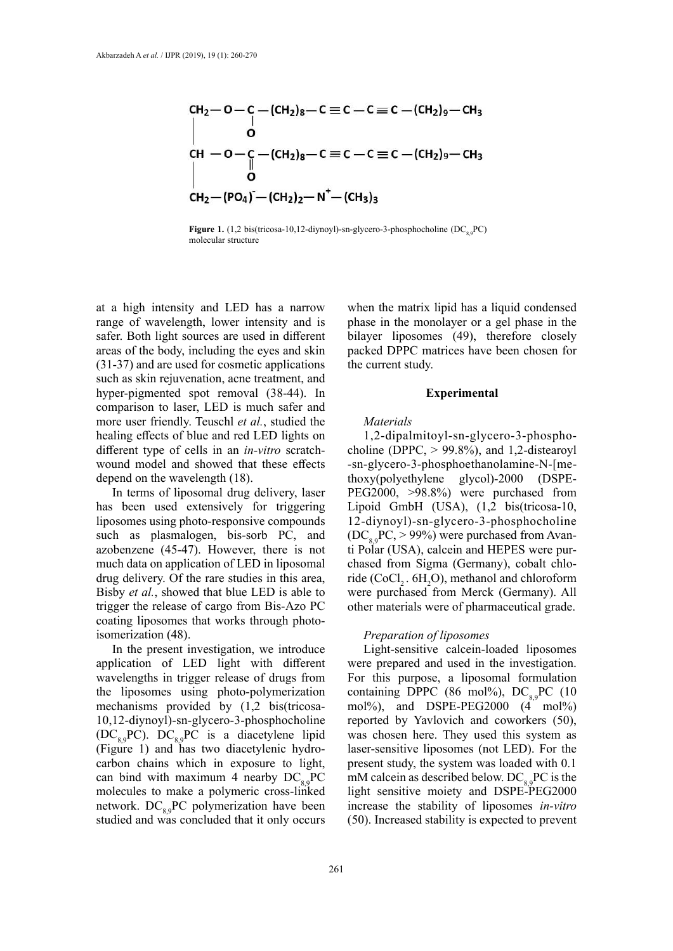$$
CH2-O-C-(CH2)8-C \equiv C-C=C-(CH2)9-CH3
$$
  
\n
$$
\begin{vmatrix}\n1 & 0 \\
0 & \text{CH} & -O-C\\
CH2 - C = C-C \equiv C - (CH2)9-CH3\n\end{vmatrix}
$$
  
\n
$$
\begin{vmatrix}\n1 & 0 \\
0 & \text{CH} & -(CH2)2-N+-(CH3)3\n\end{vmatrix}
$$

**Figure 1.** (1,2 bis(tricosa-10,12-diynoyl)-sn-glycero-3-phosphocholine ( $DC_{80}PC$ ) molecular structure

at a high intensity and LED has a narrow range of wavelength, lower intensity and is safer. Both light sources are used in different areas of the body, including the eyes and skin (31-37) and are used for cosmetic applications such as skin rejuvenation, acne treatment, and hyper-pigmented spot removal (38-44). In comparison to laser, LED is much safer and more user friendly. Teuschl *et al.*, studied the healing effects of blue and red LED lights on different type of cells in an *in-vitro* scratchwound model and showed that these effects depend on the wavelength (18).

In terms of liposomal drug delivery, laser has been used extensively for triggering liposomes using photo-responsive compounds such as plasmalogen, bis-sorb PC, and azobenzene (45-47). However, there is not much data on application of LED in liposomal drug delivery. Of the rare studies in this area, Bisby *et al.*, showed that blue LED is able to trigger the release of cargo from Bis-Azo PC coating liposomes that works through photoisomerization (48).

In the present investigation, we introduce application of LED light with different wavelengths in trigger release of drugs from the liposomes using photo-polymerization mechanisms provided by (1,2 bis(tricosa-10,12-diynoyl)-sn-glycero-3-phosphocholine  $(DC_{8.9}PC)$ .  $DC_{8.9}PC$  is a diacetylene lipid (Figure 1) and has two diacetylenic hydrocarbon chains which in exposure to light, can bind with maximum 4 nearby  $DC_{89}PC$ molecules to make a polymeric cross-linked network.  $DC_{80}PC$  polymerization have been studied and was concluded that it only occurs

when the matrix lipid has a liquid condensed phase in the monolayer or a gel phase in the bilayer liposomes (49), therefore closely packed DPPC matrices have been chosen for the current study.

#### **Experimental**

#### *Materials*

1,2-dipalmitoyl-sn-glycero-3-phosphocholine (DPPC,  $> 99.8\%$ ), and 1,2-distearoyl -sn-glycero-3-phosphoethanolamine-N-[methoxy(polyethylene glycol)-2000 (DSPE-PEG2000, >98.8%) were purchased from Lipoid GmbH (USA), (1,2 bis(tricosa-10, 12-diynoyl)-sn-glycero-3-phosphocholine  $(DC_{0.9}PC, > 99\%)$  were purchased from Avanti Polar (USA), calcein and HEPES were purchased from Sigma (Germany), cobalt chloride (CoCl<sub>2</sub>.  $6H_2O$ ), methanol and chloroform were purchased from Merck (Germany). All other materials were of pharmaceutical grade.

#### *Preparation of liposomes*

Light-sensitive calcein-loaded liposomes were prepared and used in the investigation. For this purpose, a liposomal formulation containing DPPC (86 mol%),  $DC_{89}PC$  (10 mol%), and DSPE-PEG2000 (4 mol%) reported by Yavlovich and coworkers (50), was chosen here. They used this system as laser-sensitive liposomes (not LED). For the present study, the system was loaded with 0.1 mM calcein as described below.  $DC_{89}PC$  is the light sensitive moiety and DSPE-PEG2000 increase the stability of liposomes *in-vitro* (50). Increased stability is expected to prevent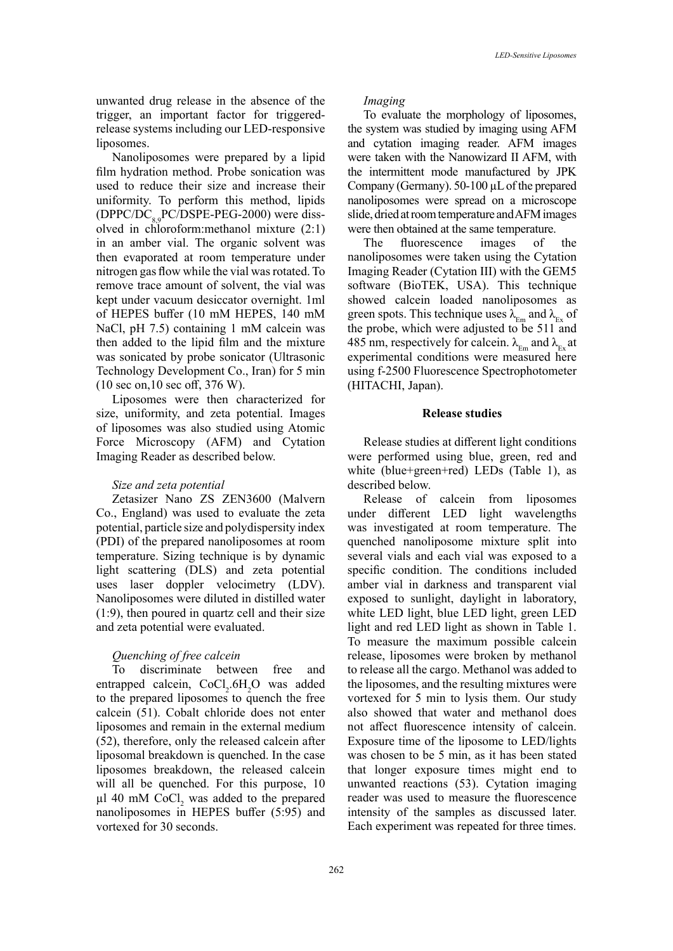unwanted drug release in the absence of the trigger, an important factor for triggeredrelease systems including our LED-responsive liposomes.

Nanoliposomes were prepared by a lipid film hydration method. Probe sonication was used to reduce their size and increase their uniformity. To perform this method, lipids  $(DPPC/DC<sub>8.9</sub>PC/DSPE-PEG-2000)$  were dissolved in chloroform:methanol mixture (2:1) in an amber vial. The organic solvent was then evaporated at room temperature under nitrogen gas flow while the vial was rotated. To remove trace amount of solvent, the vial was kept under vacuum desiccator overnight. 1ml of HEPES buffer (10 mM HEPES, 140 mM NaCl, pH 7.5) containing 1 mM calcein was then added to the lipid film and the mixture was sonicated by probe sonicator (Ultrasonic Technology Development Co., Iran) for 5 min (10 sec on,10 sec off, 376 W).

Liposomes were then characterized for size, uniformity, and zeta potential. Images of liposomes was also studied using Atomic Force Microscopy (AFM) and Cytation Imaging Reader as described below.

### *Size and zeta potential*

Zetasizer Nano ZS ZEN3600 (Malvern Co., England) was used to evaluate the zeta potential, particle size and polydispersity index (PDI) of the prepared nanoliposomes at room temperature. Sizing technique is by dynamic light scattering (DLS) and zeta potential uses laser doppler velocimetry (LDV). Nanoliposomes were diluted in distilled water (1:9), then poured in quartz cell and their size and zeta potential were evaluated.

# *Quenching of free calcein*

To discriminate between free and entrapped calcein,  $CoCl<sub>2</sub>.6H<sub>2</sub>O$  was added to the prepared liposomes to quench the free calcein (51). Cobalt chloride does not enter liposomes and remain in the external medium (52), therefore, only the released calcein after liposomal breakdown is quenched. In the case liposomes breakdown, the released calcein will all be quenched. For this purpose, 10  $\mu$ l 40 mM CoCl<sub>2</sub> was added to the prepared nanoliposomes in HEPES buffer (5:95) and vortexed for 30 seconds.

#### *Imaging*

To evaluate the morphology of liposomes, the system was studied by imaging using AFM and cytation imaging reader. AFM images were taken with the Nanowizard II AFM, with the intermittent mode manufactured by JPK Company (Germany). 50-100 µL of the prepared nanoliposomes were spread on a microscope slide, dried at room temperature and AFM images were then obtained at the same temperature.

The fluorescence images of the nanoliposomes were taken using the Cytation Imaging Reader (Cytation III) with the GEM5 software (BioTEK, USA). This technique showed calcein loaded nanoliposomes as green spots. This technique uses  $\lambda_{\text{Em}}$  and  $\lambda_{\text{Ex}}$  of the probe, which were adjusted to be 511 and 485 nm, respectively for calcein.  $\lambda_{\text{Em}}$  and  $\lambda_{\text{Ex}}$  at experimental conditions were measured here using f-2500 Fluorescence Spectrophotometer (HITACHI, Japan).

### **Release studies**

Release studies at different light conditions were performed using blue, green, red and white (blue+green+red) LEDs (Table 1), as described below.

Release of calcein from liposomes under different LED light wavelengths was investigated at room temperature. The quenched nanoliposome mixture split into several vials and each vial was exposed to a specific condition. The conditions included amber vial in darkness and transparent vial exposed to sunlight, daylight in laboratory, white LED light, blue LED light, green LED light and red LED light as shown in Table 1. To measure the maximum possible calcein release, liposomes were broken by methanol to release all the cargo. Methanol was added to the liposomes, and the resulting mixtures were vortexed for 5 min to lysis them. Our study also showed that water and methanol does not affect fluorescence intensity of calcein. Exposure time of the liposome to LED/lights was chosen to be 5 min, as it has been stated that longer exposure times might end to unwanted reactions (53). Cytation imaging reader was used to measure the fluorescence intensity of the samples as discussed later. Each experiment was repeated for three times.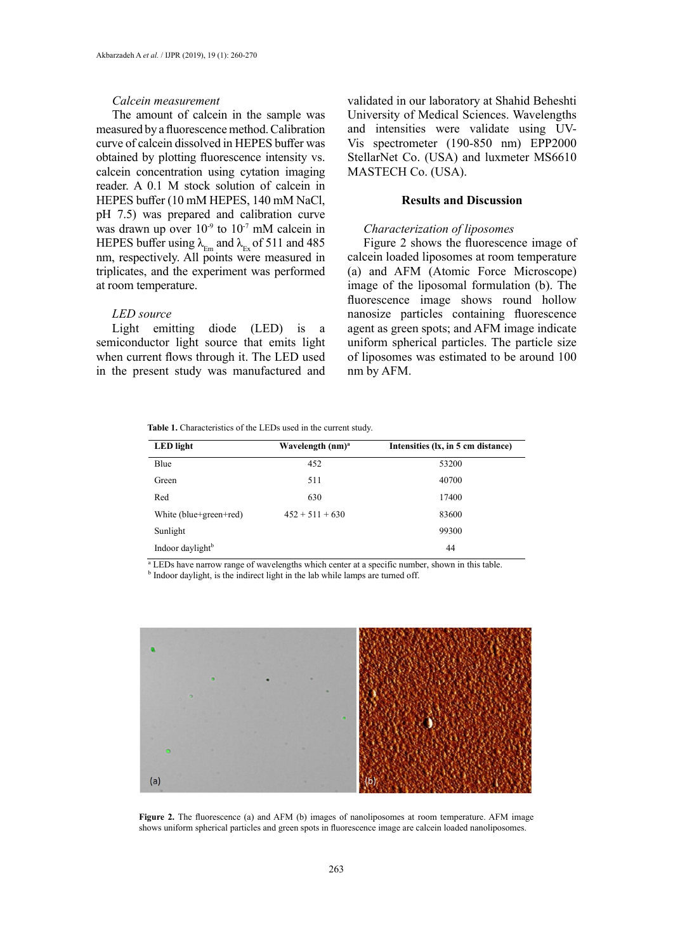#### *Calcein measurement*

The amount of calcein in the sample was measured by a fluorescence method. Calibration curve of calcein dissolved in HEPES buffer was obtained by plotting fluorescence intensity vs. calcein concentration using cytation imaging reader. A 0.1 M stock solution of calcein in HEPES buffer (10 mM HEPES, 140 mM NaCl, pH 7.5) was prepared and calibration curve was drawn up over  $10^{-9}$  to  $10^{-7}$  mM calcein in HEPES buffer using  $\lambda_{En}$  and  $\lambda_{Ex}$  of 511 and 485 nm, respectively. All points were measured in triplicates, and the experiment was performed at room temperature.

# *LED source*

Light emitting diode (LED) is a semiconductor light source that emits light when current flows through it. The LED used in the present study was manufactured and validated in our laboratory at Shahid Beheshti University of Medical Sciences. Wavelengths and intensities were validate using UV-Vis spectrometer (190-850 nm) EPP2000 StellarNet Co. (USA) and luxmeter MS6610 MASTECH Co. (USA).

# **Results and Discussion**

# *Characterization of liposomes*

Figure 2 shows the fluorescence image of calcein loaded liposomes at room temperature (a) and AFM (Atomic Force Microscope) image of the liposomal formulation (b). The fluorescence image shows round hollow nanosize particles containing fluorescence agent as green spots; and AFM image indicate uniform spherical particles. The particle size of liposomes was estimated to be around 100 nm by AFM.

**Table 1.** Characteristics of the LEDs used in the current study. **Table 1.** Characteristics of the LEDs used in the current study.

| Wavelength $(nm)^a$ | Intensities (lx, in 5 cm distance) |
|---------------------|------------------------------------|
| 452                 | 53200                              |
| 511                 | 40700                              |
| 630                 | 17400                              |
| $452 + 511 + 630$   | 83600                              |
|                     | 99300                              |
|                     | 44                                 |
|                     |                                    |

<sup>a</sup> LEDs have narrow range of wavelengths which center at a specific number, shown in this table.

<sup>b</sup> Indoor daylight, is the indirect light in the lab while lamps are turned off.



Figure 2. The fluorescence (a) and AFM (b) images of nanoliposomes at room temperature. AFM image shows uniform spherical particles and green spots in fluorescence image are calcein loaded nanoliposomes.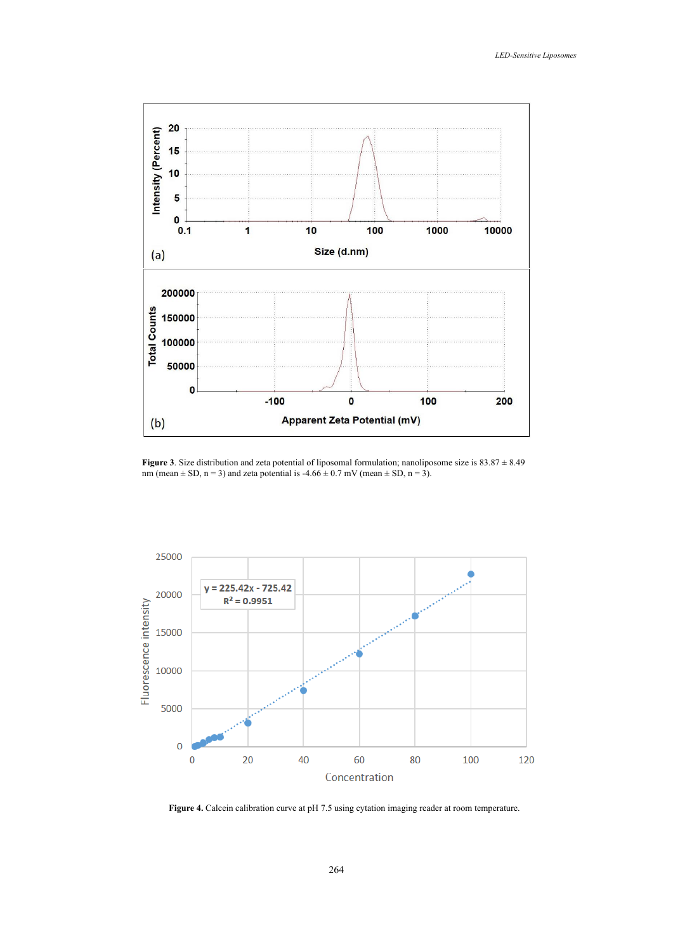

**Figure 3**. Size distribution and zeta potential of liposomal formulation; nanoliposome size is  $83.87 \pm 8.49$  nm (mean  $\pm$  SD, n = 3) and zeta potential is  $-4.66 \pm 0.7$  mV (mean  $\pm$  SD, n = 3). nm (mean  $\pm$  SD, n = 3) and zeta potential is -4.66  $\pm$  0.7 mV (mean  $\pm$  SD, n = 3).



**Figure 4.** Calcein calibration curve at pH 7.5 using cytation imaging reader at room temperature.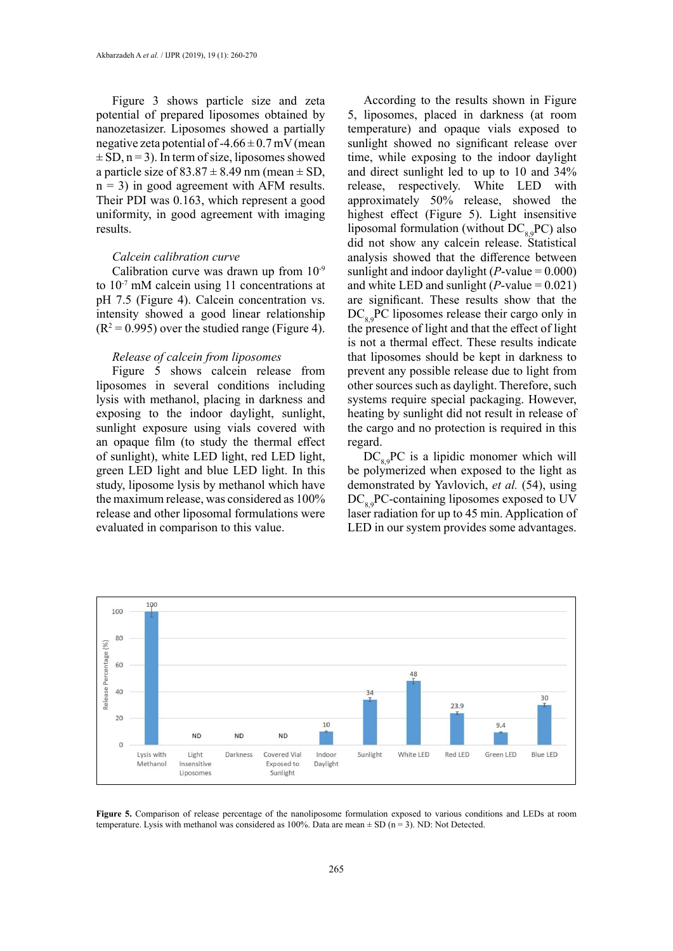Figure 3 shows particle size and zeta potential of prepared liposomes obtained by nanozetasizer. Liposomes showed a partially negative zeta potential of  $-4.66 \pm 0.7$  mV (mean  $\pm$  SD, n = 3). In term of size, liposomes showed a particle size of  $83.87 \pm 8.49$  nm (mean  $\pm$  SD,  $n = 3$ ) in good agreement with AFM results. Their PDI was 0.163, which represent a good uniformity, in good agreement with imaging results.

# *Calcein calibration curve*

Calibration curve was drawn up from 10-9 to 10-7 mM calcein using 11 concentrations at pH 7.5 (Figure 4). Calcein concentration vs. intensity showed a good linear relationship  $(R^2 = 0.995)$  over the studied range (Figure 4).

### *Release of calcein from liposomes*

Figure 5 shows calcein release from liposomes in several conditions including lysis with methanol, placing in darkness and exposing to the indoor daylight, sunlight, sunlight exposure using vials covered with an opaque film (to study the thermal effect of sunlight), white LED light, red LED light, green LED light and blue LED light. In this study, liposome lysis by methanol which have the maximum release, was considered as 100% release and other liposomal formulations were evaluated in comparison to this value.

According to the results shown in Figure 5, liposomes, placed in darkness (at room temperature) and opaque vials exposed to sunlight showed no significant release over time, while exposing to the indoor daylight and direct sunlight led to up to 10 and 34% release, respectively. White LED with approximately 50% release, showed the highest effect (Figure 5). Light insensitive liposomal formulation (without  $DC_{8,9}PC$ ) also did not show any calcein release. Statistical analysis showed that the difference between sunlight and indoor daylight  $(P-value = 0.000)$ and white LED and sunlight  $(P\text{-value} = 0.021)$ are significant. These results show that the  $DC_{80}PC$  liposomes release their cargo only in the presence of light and that the effect of light is not a thermal effect. These results indicate that liposomes should be kept in darkness to prevent any possible release due to light from other sources such as daylight. Therefore, such systems require special packaging. However, heating by sunlight did not result in release of the cargo and no protection is required in this regard.

 $DC_{89}PC$  is a lipidic monomer which will be polymerized when exposed to the light as demonstrated by Yavlovich, *et al.* (54), using  $DC_{8.9}PC$ -containing liposomes exposed to UV laser radiation for up to 45 min. Application of LED in our system provides some advantages.



Figure 5. Comparison of release percentage of the nanoliposome formulation exposed to various conditions and LEDs at room temperature. Lysis with methanol was considered as 100%. Data are mean  $\pm$  SD (n = 3). ND: Not Detected.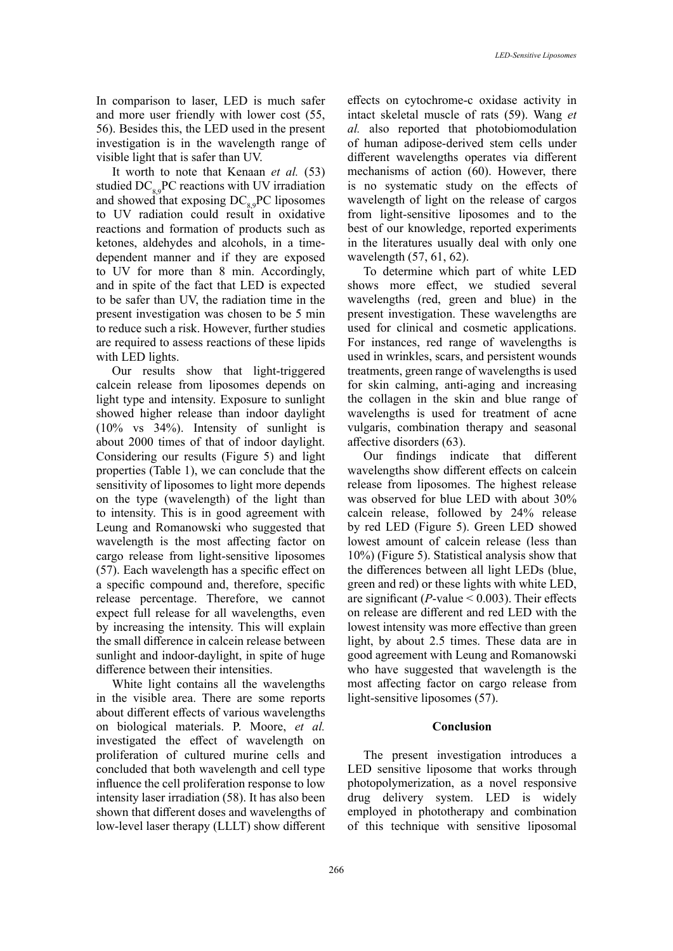In comparison to laser, LED is much safer and more user friendly with lower cost (55, 56). Besides this, the LED used in the present investigation is in the wavelength range of visible light that is safer than UV.

It worth to note that Kenaan *et al.* (53) studied  $DC_{80}PC$  reactions with UV irradiation and showed that exposing  $DC_{8,9}PC$  liposomes to UV radiation could result in oxidative reactions and formation of products such as ketones, aldehydes and alcohols, in a timedependent manner and if they are exposed to UV for more than 8 min. Accordingly, and in spite of the fact that LED is expected to be safer than UV, the radiation time in the present investigation was chosen to be 5 min to reduce such a risk. However, further studies are required to assess reactions of these lipids with LED lights.

Our results show that light-triggered calcein release from liposomes depends on light type and intensity. Exposure to sunlight showed higher release than indoor daylight (10% vs 34%). Intensity of sunlight is about 2000 times of that of indoor daylight. Considering our results (Figure 5) and light properties (Table 1), we can conclude that the sensitivity of liposomes to light more depends on the type (wavelength) of the light than to intensity. This is in good agreement with Leung and Romanowski who suggested that wavelength is the most affecting factor on cargo release from light-sensitive liposomes (57). Each wavelength has a specific effect on a specific compound and, therefore, specific release percentage. Therefore, we cannot expect full release for all wavelengths, even by increasing the intensity. This will explain the small difference in calcein release between sunlight and indoor-daylight, in spite of huge difference between their intensities.

White light contains all the wavelengths in the visible area. There are some reports about different effects of various wavelengths on biological materials. P. Moore, *et al.* investigated the effect of wavelength on proliferation of cultured murine cells and concluded that both wavelength and cell type influence the cell proliferation response to low intensity laser irradiation (58). It has also been shown that different doses and wavelengths of low-level laser therapy (LLLT) show different

effects on cytochrome-c oxidase activity in intact skeletal muscle of rats (59). Wang *et al.* also reported that photobiomodulation of human adipose-derived stem cells under different wavelengths operates via different mechanisms of action (60). However, there is no systematic study on the effects of wavelength of light on the release of cargos from light-sensitive liposomes and to the best of our knowledge, reported experiments in the literatures usually deal with only one wavelength (57, 61, 62).

To determine which part of white LED shows more effect, we studied several wavelengths (red, green and blue) in the present investigation. These wavelengths are used for clinical and cosmetic applications. For instances, red range of wavelengths is used in wrinkles, scars, and persistent wounds treatments, green range of wavelengths is used for skin calming, anti-aging and increasing the collagen in the skin and blue range of wavelengths is used for treatment of acne vulgaris, combination therapy and seasonal affective disorders (63).

Our findings indicate that different wavelengths show different effects on calcein release from liposomes. The highest release was observed for blue LED with about 30% calcein release, followed by 24% release by red LED (Figure 5). Green LED showed lowest amount of calcein release (less than 10%) (Figure 5). Statistical analysis show that the differences between all light LEDs (blue, green and red) or these lights with white LED, are significant ( $P$ -value < 0.003). Their effects on release are different and red LED with the lowest intensity was more effective than green light, by about 2.5 times. These data are in good agreement with Leung and Romanowski who have suggested that wavelength is the most affecting factor on cargo release from light-sensitive liposomes (57).

### **Conclusion**

The present investigation introduces a LED sensitive liposome that works through photopolymerization, as a novel responsive drug delivery system. LED is widely employed in phototherapy and combination of this technique with sensitive liposomal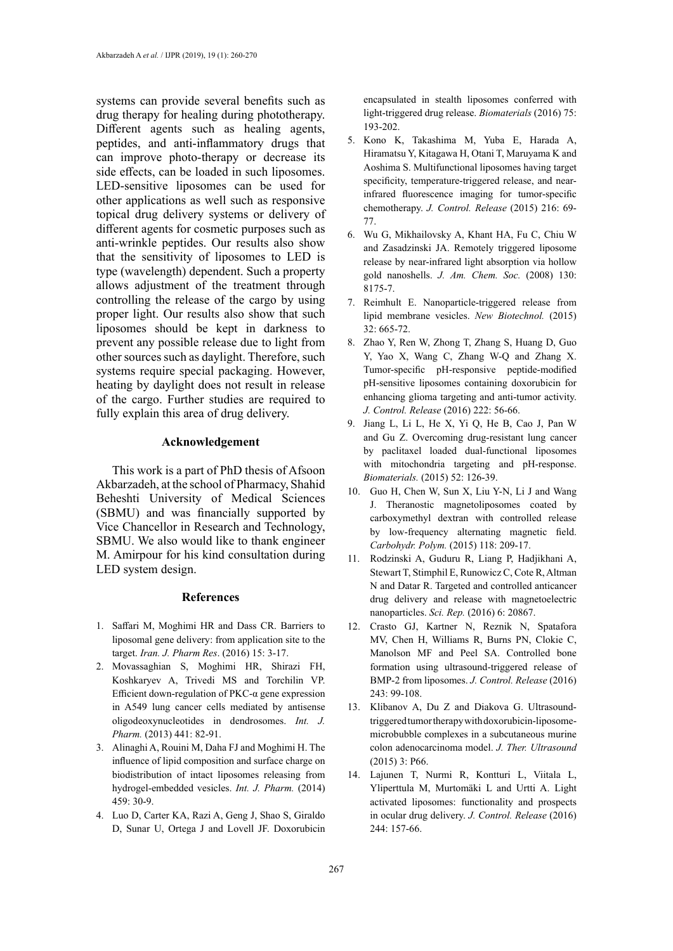systems can provide several benefits such as drug therapy for healing during phototherapy. Different agents such as healing agents, peptides, and anti-inflammatory drugs that can improve photo-therapy or decrease its side effects, can be loaded in such liposomes. LED-sensitive liposomes can be used for other applications as well such as responsive topical drug delivery systems or delivery of different agents for cosmetic purposes such as anti-wrinkle peptides. Our results also show that the sensitivity of liposomes to LED is type (wavelength) dependent. Such a property allows adjustment of the treatment through controlling the release of the cargo by using proper light. Our results also show that such liposomes should be kept in darkness to prevent any possible release due to light from other sources such as daylight. Therefore, such systems require special packaging. However, heating by daylight does not result in release of the cargo. Further studies are required to fully explain this area of drug delivery.

## **Acknowledgement**

This work is a part of PhD thesis of Afsoon Akbarzadeh, at the school of Pharmacy, Shahid Beheshti University of Medical Sciences (SBMU) and was financially supported by Vice Chancellor in Research and Technology, SBMU. We also would like to thank engineer M. Amirpour for his kind consultation during LED system design.

### **References**

- 1. Saffari M, Moghimi HR and Dass CR. Barriers to liposomal gene delivery: from application site to the target. *Iran. J. Pharm Res*. (2016) 15: 3-17.
- 2. Movassaghian S, Moghimi HR, Shirazi FH, Koshkaryev A, Trivedi MS and Torchilin VP. Efficient down-regulation of PKC-α gene expression in A549 lung cancer cells mediated by antisense oligodeoxynucleotides in dendrosomes. *Int. J. Pharm.* (2013) 441: 82-91.
- 3. Alinaghi A, Rouini M, Daha FJ and Moghimi H. The influence of lipid composition and surface charge on biodistribution of intact liposomes releasing from hydrogel-embedded vesicles. *Int. J. Pharm.* (2014) 459: 30-9.
- 4. Luo D, Carter KA, Razi A, Geng J, Shao S, Giraldo D, Sunar U, Ortega J and Lovell JF. Doxorubicin

encapsulated in stealth liposomes conferred with light-triggered drug release. *Biomaterials* (2016) 75: 193-202.

- 5. Kono K, Takashima M, Yuba E, Harada A, Hiramatsu Y, Kitagawa H, Otani T, Maruyama K and Aoshima S. Multifunctional liposomes having target specificity, temperature-triggered release, and nearinfrared fluorescence imaging for tumor-specific chemotherapy. *J. Control. Release* (2015) 216: 69- 77.
- 6. Wu G, Mikhailovsky A, Khant HA, Fu C, Chiu W and Zasadzinski JA. Remotely triggered liposome release by near-infrared light absorption via hollow gold nanoshells. *J. Am. Chem. Soc.* (2008) 130: 8175-7.
- 7. Reimhult E. Nanoparticle-triggered release from lipid membrane vesicles. *New Biotechnol.* (2015) 32: 665-72.
- 8. Zhao Y, Ren W, Zhong T, Zhang S, Huang D, Guo Y, Yao X, Wang C, Zhang W-Q and Zhang X. Tumor-specific pH-responsive peptide-modified pH-sensitive liposomes containing doxorubicin for enhancing glioma targeting and anti-tumor activity. *J. Control. Release* (2016) 222: 56-66.
- 9. Jiang L, Li L, He X, Yi Q, He B, Cao J, Pan W and Gu Z. Overcoming drug-resistant lung cancer by paclitaxel loaded dual-functional liposomes with mitochondria targeting and pH-response. *Biomaterials.* (2015) 52: 126-39.
- 10. Guo H, Chen W, Sun X, Liu Y-N, Li J and Wang J. Theranostic magnetoliposomes coated by carboxymethyl dextran with controlled release by low-frequency alternating magnetic field. *Carbohydr. Polym.* (2015) 118: 209-17.
- 11. Rodzinski A, Guduru R, Liang P, Hadjikhani A, Stewart T, Stimphil E, Runowicz C, Cote R, Altman N and Datar R. Targeted and controlled anticancer drug delivery and release with magnetoelectric nanoparticles. *Sci. Rep.* (2016) 6: 20867.
- 12. Crasto GJ, Kartner N, Reznik N, Spatafora MV, Chen H, Williams R, Burns PN, Clokie C, Manolson MF and Peel SA. Controlled bone formation using ultrasound-triggered release of BMP-2 from liposomes. *J. Control. Release* (2016) 243: 99-108.
- 13. Klibanov A, Du Z and Diakova G. Ultrasoundtriggered tumor therapy with doxorubicin-liposomemicrobubble complexes in a subcutaneous murine colon adenocarcinoma model. *J. Ther. Ultrasound* (2015) 3: P66.
- 14. Lajunen T, Nurmi R, Kontturi L, Viitala L, Yliperttula M, Murtomäki L and Urtti A. Light activated liposomes: functionality and prospects in ocular drug delivery. *J. Control. Release* (2016) 244: 157-66.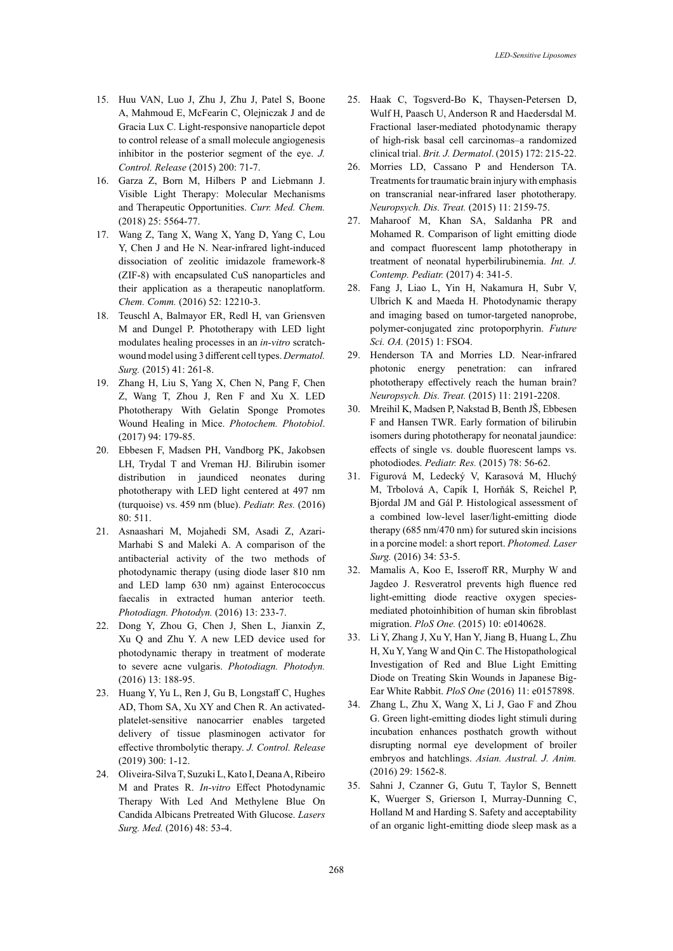- 15. Huu VAN, Luo J, Zhu J, Zhu J, Patel S, Boone A, Mahmoud E, McFearin C, Olejniczak J and de Gracia Lux C. Light-responsive nanoparticle depot to control release of a small molecule angiogenesis inhibitor in the posterior segment of the eye. *J. Control. Release* (2015) 200: 71-7.
- 16. Garza Z, Born M, Hilbers P and Liebmann J. Visible Light Therapy: Molecular Mechanisms and Therapeutic Opportunities. *Curr. Med. Chem.* (2018) 25: 5564-77.
- 17. Wang Z, Tang X, Wang X, Yang D, Yang C, Lou Y, Chen J and He N. Near-infrared light-induced dissociation of zeolitic imidazole framework-8 (ZIF-8) with encapsulated CuS nanoparticles and their application as a therapeutic nanoplatform. *Chem. Comm.* (2016) 52: 12210-3.
- 18. Teuschl A, Balmayor ER, Redl H, van Griensven M and Dungel P. Phototherapy with LED light modulates healing processes in an *in-vitro* scratchwound model using 3 different cell types. *Dermatol. Surg.* (2015) 41: 261-8.
- 19. Zhang H, Liu S, Yang X, Chen N, Pang F, Chen Z, Wang T, Zhou J, Ren F and Xu X. LED Phototherapy With Gelatin Sponge Promotes Wound Healing in Mice. *Photochem. Photobiol*. (2017) 94: 179-85.
- 20. Ebbesen F, Madsen PH, Vandborg PK, Jakobsen LH, Trydal T and Vreman HJ. Bilirubin isomer distribution in jaundiced neonates during phototherapy with LED light centered at 497 nm (turquoise) vs. 459 nm (blue). *Pediatr. Res.* (2016) 80: 511.
- 21. Asnaashari M, Mojahedi SM, Asadi Z, Azari-Marhabi S and Maleki A. A comparison of the antibacterial activity of the two methods of photodynamic therapy (using diode laser 810 nm and LED lamp 630 nm) against Enterococcus faecalis in extracted human anterior teeth. *Photodiagn. Photodyn.* (2016) 13: 233-7.
- 22. Dong Y, Zhou G, Chen J, Shen L, Jianxin Z, Xu Q and Zhu Y. A new LED device used for photodynamic therapy in treatment of moderate to severe acne vulgaris. *Photodiagn. Photodyn.*  (2016) 13: 188-95.
- 23. Huang Y, Yu L, Ren J, Gu B, Longstaff C, Hughes AD, Thom SA, Xu XY and Chen R. An activatedplatelet-sensitive nanocarrier enables targeted delivery of tissue plasminogen activator for effective thrombolytic therapy. *J. Control. Release*  (2019) 300: 1-12.
- 24. Oliveira-Silva T, Suzuki L, Kato I, Deana A, Ribeiro M and Prates R. *In-vitro* Effect Photodynamic Therapy With Led And Methylene Blue On Candida Albicans Pretreated With Glucose. *Lasers Surg. Med.* (2016) 48: 53-4.
- 25. Haak C, Togsverd-Bo K, Thaysen-Petersen D, Wulf H, Paasch U, Anderson R and Haedersdal M. Fractional laser-mediated photodynamic therapy of high-risk basal cell carcinomas–a randomized clinical trial. *Brit. J. Dermatol*. (2015) 172: 215-22.
- 26. Morries LD, Cassano P and Henderson TA. Treatments for traumatic brain injury with emphasis on transcranial near-infrared laser phototherapy. *Neuropsych. Dis. Treat.* (2015) 11: 2159-75.
- 27. Maharoof M, Khan SA, Saldanha PR and Mohamed R. Comparison of light emitting diode and compact fluorescent lamp phototherapy in treatment of neonatal hyperbilirubinemia. *Int. J. Contemp. Pediatr.* (2017) 4: 341-5.
- 28. Fang J, Liao L, Yin H, Nakamura H, Subr V, Ulbrich K and Maeda H. Photodynamic therapy and imaging based on tumor-targeted nanoprobe, polymer-conjugated zinc protoporphyrin. *Future Sci. OA.* (2015) 1: FSO4.
- 29. Henderson TA and Morries LD. Near-infrared photonic energy penetration: can infrared phototherapy effectively reach the human brain? *Neuropsych. Dis. Treat.* (2015) 11: 2191-2208.
- 30. Mreihil K, Madsen P, Nakstad B, Benth JŠ, Ebbesen F and Hansen TWR. Early formation of bilirubin isomers during phototherapy for neonatal jaundice: effects of single vs. double fluorescent lamps vs. photodiodes. *Pediatr. Res.* (2015) 78: 56-62.
- 31. Figurová M, Ledecký V, Karasová M, Hluchý M, Trbolová A, Capík I, Horňák S, Reichel P, Bjordal JM and Gál P. Histological assessment of a combined low-level laser/light-emitting diode therapy (685 nm/470 nm) for sutured skin incisions in a porcine model: a short report. *Photomed. Laser Surg.* (2016) 34: 53-5.
- 32. Mamalis A, Koo E, Isseroff RR, Murphy W and Jagdeo J. Resveratrol prevents high fluence red light-emitting diode reactive oxygen speciesmediated photoinhibition of human skin fibroblast migration. *PloS One.* (2015) 10: e0140628.
- 33. Li Y, Zhang J, Xu Y, Han Y, Jiang B, Huang L, Zhu H, Xu Y, Yang W and Qin C. The Histopathological Investigation of Red and Blue Light Emitting Diode on Treating Skin Wounds in Japanese Big-Ear White Rabbit. *PloS One* (2016) 11: e0157898.
- 34. Zhang L, Zhu X, Wang X, Li J, Gao F and Zhou G. Green light-emitting diodes light stimuli during incubation enhances posthatch growth without disrupting normal eye development of broiler embryos and hatchlings. *Asian. Austral. J. Anim.* (2016) 29: 1562-8.
- 35. Sahni J, Czanner G, Gutu T, Taylor S, Bennett K, Wuerger S, Grierson I, Murray-Dunning C, Holland M and Harding S. Safety and acceptability of an organic light-emitting diode sleep mask as a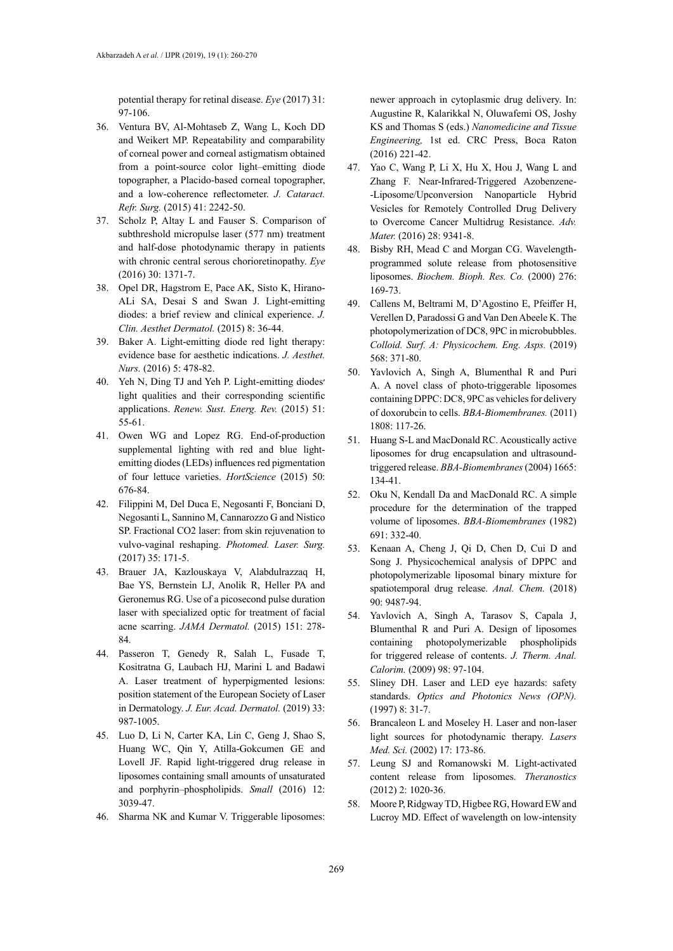potential therapy for retinal disease. *Eye* (2017) 31: 97-106.

- 36. Ventura BV, Al-Mohtaseb Z, Wang L, Koch DD and Weikert MP. Repeatability and comparability of corneal power and corneal astigmatism obtained from a point-source color light–emitting diode topographer, a Placido-based corneal topographer, and a low-coherence reflectometer. *J. Cataract. Refr. Surg.* (2015) 41: 2242-50.
- 37. Scholz P, Altay L and Fauser S. Comparison of subthreshold micropulse laser (577 nm) treatment and half-dose photodynamic therapy in patients with chronic central serous chorioretinopathy. *Eye* (2016) 30: 1371-7.
- 38. Opel DR, Hagstrom E, Pace AK, Sisto K, Hirano-ALi SA, Desai S and Swan J. Light-emitting diodes: a brief review and clinical experience. *J. Clin. Aesthet Dermatol.* (2015) 8: 36-44.
- 39. Baker A. Light-emitting diode red light therapy: evidence base for aesthetic indications. *J. Aesthet. Nurs.* (2016) 5: 478-82.
- 40. Yeh N, Ding TJ and Yeh P. Light-emitting diodes׳ light qualities and their corresponding scientific applications. *Renew. Sust. Energ. Rev.* (2015) 51: 55-61.
- 41. Owen WG and Lopez RG. End-of-production supplemental lighting with red and blue lightemitting diodes (LEDs) influences red pigmentation of four lettuce varieties. *HortScience* (2015) 50: 676-84.
- 42. Filippini M, Del Duca E, Negosanti F, Bonciani D, Negosanti L, Sannino M, Cannarozzo G and Nistico SP. Fractional CO2 laser: from skin rejuvenation to vulvo-vaginal reshaping. *Photomed. Laser. Surg.* (2017) 35: 171-5.
- 43. Brauer JA, Kazlouskaya V, Alabdulrazzaq H, Bae YS, Bernstein LJ, Anolik R, Heller PA and Geronemus RG. Use of a picosecond pulse duration laser with specialized optic for treatment of facial acne scarring. *JAMA Dermatol.* (2015) 151: 278- 84.
- 44. Passeron T, Genedy R, Salah L, Fusade T, Kositratna G, Laubach HJ, Marini L and Badawi A. Laser treatment of hyperpigmented lesions: position statement of the European Society of Laser in Dermatology. *J. Eur. Acad. Dermatol.* (2019) 33: 987-1005.
- 45. Luo D, Li N, Carter KA, Lin C, Geng J, Shao S, Huang WC, Qin Y, Atilla-Gokcumen GE and Lovell JF. Rapid light-triggered drug release in liposomes containing small amounts of unsaturated and porphyrin–phospholipids. *Small* (2016) 12: 3039-47.
- 46. Sharma NK and Kumar V. Triggerable liposomes:

newer approach in cytoplasmic drug delivery. In: Augustine R, Kalarikkal N, Oluwafemi OS, Joshy KS and Thomas S (eds.) *Nanomedicine and Tissue Engineering,* 1st ed. CRC Press, Boca Raton (2016) 221-42.

- 47. Yao C, Wang P, Li X, Hu X, Hou J, Wang L and Zhang F. Near-Infrared-Triggered Azobenzene- -Liposome/Upconversion Nanoparticle Hybrid Vesicles for Remotely Controlled Drug Delivery to Overcome Cancer Multidrug Resistance. *Adv. Mater.* (2016) 28: 9341-8.
- 48. Bisby RH, Mead C and Morgan CG. Wavelengthprogrammed solute release from photosensitive liposomes. *Biochem. Bioph. Res. Co.* (2000) 276: 169-73.
- 49. Callens M, Beltrami M, D'Agostino E, Pfeiffer H, Verellen D, Paradossi G and Van Den Abeele K. The photopolymerization of DC8, 9PC in microbubbles. *Colloid. Surf. A: Physicochem. Eng. Asps.* (2019) 568: 371-80.
- 50. Yavlovich A, Singh A, Blumenthal R and Puri A. A novel class of photo-triggerable liposomes containing DPPC: DC8, 9PC as vehicles for delivery of doxorubcin to cells. *BBA-Biomembranes.* (2011) 1808: 117-26.
- 51. Huang S-L and MacDonald RC. Acoustically active liposomes for drug encapsulation and ultrasoundtriggered release. *BBA-Biomembranes* (2004) 1665: 134-41.
- 52. Oku N, Kendall Da and MacDonald RC. A simple procedure for the determination of the trapped volume of liposomes. *BBA-Biomembranes* (1982) 691: 332-40.
- 53. Kenaan A, Cheng J, Qi D, Chen D, Cui D and Song J. Physicochemical analysis of DPPC and photopolymerizable liposomal binary mixture for spatiotemporal drug release. *Anal. Chem.* (2018) 90: 9487-94.
- 54. Yavlovich A, Singh A, Tarasov S, Capala J, Blumenthal R and Puri A. Design of liposomes containing photopolymerizable phospholipids for triggered release of contents. *J. Therm. Anal. Calorim.* (2009) 98: 97-104.
- 55. Sliney DH. Laser and LED eye hazards: safety standards. *Optics and Photonics News (OPN).*  (1997) 8: 31-7.
- 56. Brancaleon L and Moseley H. Laser and non-laser light sources for photodynamic therapy. *Lasers Med. Sci.* (2002) 17: 173-86.
- 57. Leung SJ and Romanowski M. Light-activated content release from liposomes. *Theranostics*  (2012) 2: 1020-36.
- 58. Moore P, Ridgway TD, Higbee RG, Howard EW and Lucroy MD. Effect of wavelength on low-intensity